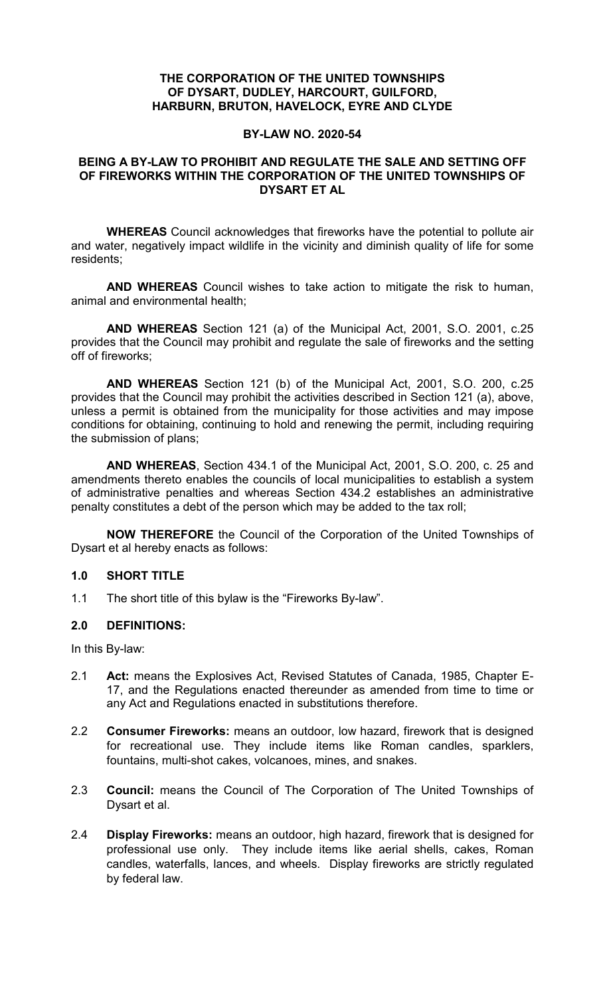### **THE CORPORATION OF THE UNITED TOWNSHIPS OF DYSART, DUDLEY, HARCOURT, GUILFORD, HARBURN, BRUTON, HAVELOCK, EYRE AND CLYDE**

## **BY-LAW NO. 2020-54**

## **BEING A BY-LAW TO PROHIBIT AND REGULATE THE SALE AND SETTING OFF OF FIREWORKS WITHIN THE CORPORATION OF THE UNITED TOWNSHIPS OF DYSART ET AL**

**WHEREAS** Council acknowledges that fireworks have the potential to pollute air and water, negatively impact wildlife in the vicinity and diminish quality of life for some residents;

**AND WHEREAS** Council wishes to take action to mitigate the risk to human, animal and environmental health;

**AND WHEREAS** Section 121 (a) of the Municipal Act, 2001, S.O. 2001, c.25 provides that the Council may prohibit and regulate the sale of fireworks and the setting off of fireworks;

**AND WHEREAS** Section 121 (b) of the Municipal Act, 2001, S.O. 200, c.25 provides that the Council may prohibit the activities described in Section 121 (a), above, unless a permit is obtained from the municipality for those activities and may impose conditions for obtaining, continuing to hold and renewing the permit, including requiring the submission of plans;

**AND WHEREAS**, Section 434.1 of the Municipal Act, 2001, S.O. 200, c. 25 and amendments thereto enables the councils of local municipalities to establish a system of administrative penalties and whereas Section 434.2 establishes an administrative penalty constitutes a debt of the person which may be added to the tax roll;

**NOW THEREFORE** the Council of the Corporation of the United Townships of Dysart et al hereby enacts as follows:

#### **1.0 SHORT TITLE**

1.1 The short title of this bylaw is the "Fireworks By-law".

## **2.0 DEFINITIONS:**

In this By-law:

- 2.1 **Act:** means the Explosives Act, Revised Statutes of Canada, 1985, Chapter E-17, and the Regulations enacted thereunder as amended from time to time or any Act and Regulations enacted in substitutions therefore.
- 2.2 **Consumer Fireworks:** means an outdoor, low hazard, firework that is designed for recreational use. They include items like Roman candles, sparklers, fountains, multi-shot cakes, volcanoes, mines, and snakes.
- 2.3 **Council:** means the Council of The Corporation of The United Townships of Dysart et al.
- 2.4 **Display Fireworks:** means an outdoor, high hazard, firework that is designed for professional use only. They include items like aerial shells, cakes, Roman candles, waterfalls, lances, and wheels. Display fireworks are strictly regulated by federal law.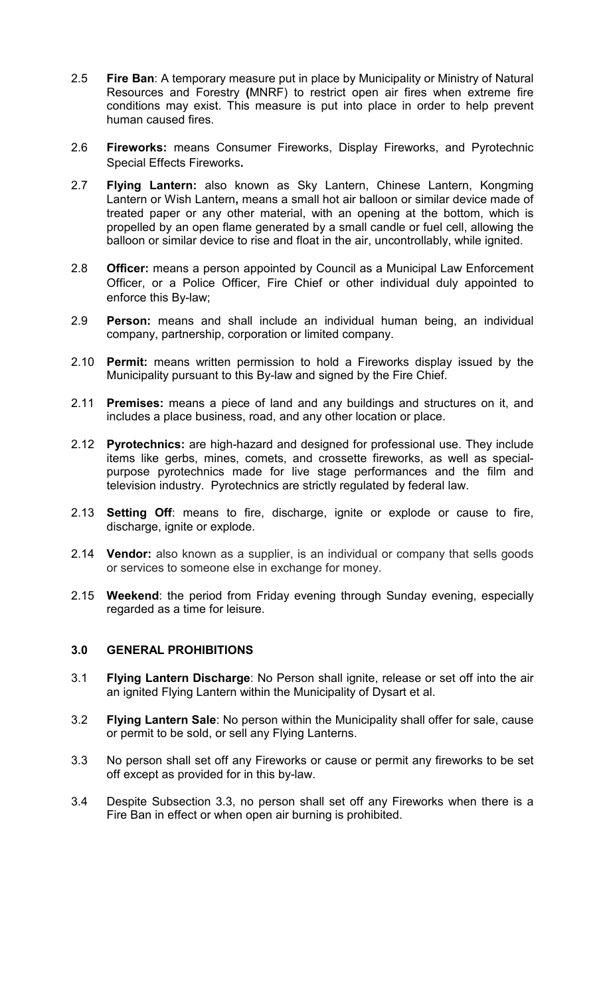- 2.5 **Fire Ban**: A temporary measure put in place by Municipality or Ministry of Natural Resources and Forestry **(**MNRF) to restrict open air fires when extreme fire conditions may exist. This measure is put into place in order to help prevent human caused fires.
- 2.6 **Fireworks:** means Consumer Fireworks, Display Fireworks, and Pyrotechnic Special Effects Fireworks**.**
- 2.7 **Flying Lantern:** also known as Sky Lantern, Chinese Lantern, Kongming Lantern or Wish Lantern**,** means a small hot air balloon or similar device made of treated paper or any other material, with an opening at the bottom, which is propelled by an open flame generated by a small candle or fuel cell, allowing the balloon or similar device to rise and float in the air, uncontrollably, while ignited.
- 2.8 **Officer:** means a person appointed by Council as a Municipal Law Enforcement Officer, or a Police Officer, Fire Chief or other individual duly appointed to enforce this By-law;
- 2.9 **Person:** means and shall include an individual human being, an individual company, partnership, corporation or limited company.
- 2.10 **Permit:** means written permission to hold a Fireworks display issued by the Municipality pursuant to this By-law and signed by the Fire Chief.
- 2.11 **Premises:** means a piece of land and any buildings and structures on it, and includes a place business, road, and any other location or place.
- 2.12 **Pyrotechnics:** are high-hazard and designed for professional use. They include items like gerbs, mines, comets, and crossette fireworks, as well as specialpurpose pyrotechnics made for live stage performances and the film and television industry. Pyrotechnics are strictly regulated by federal law.
- 2.13 **Setting Off**: means to fire, discharge, ignite or explode or cause to fire, discharge, ignite or explode.
- 2.14 **Vendor:** also known as a supplier, is an individual or company that sells goods or services to someone else in exchange for money.
- 2.15 **Weekend**: the period from Friday evening through Sunday evening, especially regarded as a time for leisure.

## **3.0 GENERAL PROHIBITIONS**

- 3.1 **Flying Lantern Discharge**: No Person shall ignite, release or set off into the air an ignited Flying Lantern within the Municipality of Dysart et al.
- 3.2 **Flying Lantern Sale**: No person within the Municipality shall offer for sale, cause or permit to be sold, or sell any Flying Lanterns.
- 3.3 No person shall set off any Fireworks or cause or permit any fireworks to be set off except as provided for in this by-law.
- 3.4 Despite Subsection 3.3, no person shall set off any Fireworks when there is a Fire Ban in effect or when open air burning is prohibited.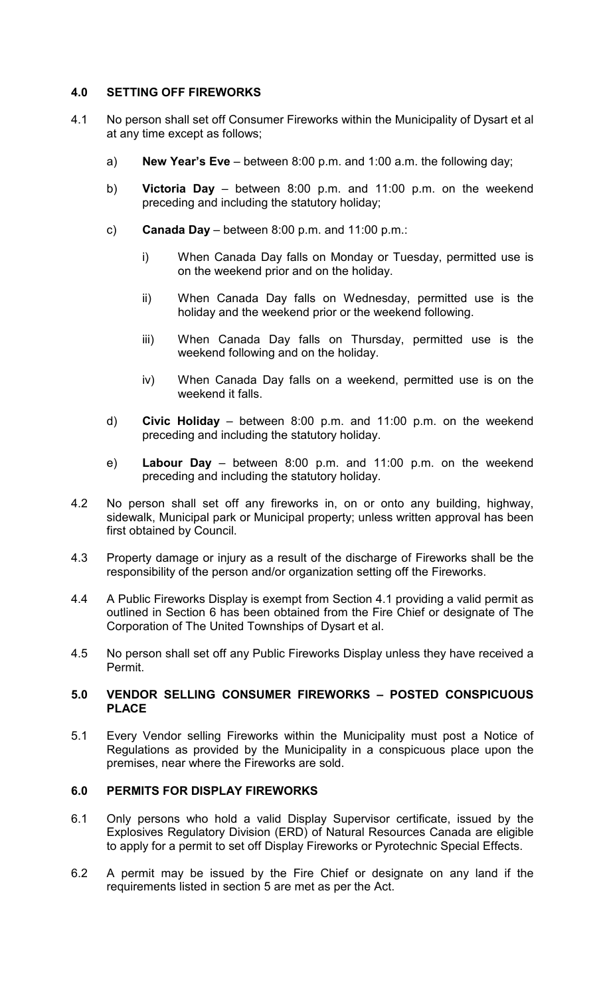## **4.0 SETTING OFF FIREWORKS**

- 4.1 No person shall set off Consumer Fireworks within the Municipality of Dysart et al at any time except as follows;
	- a) **New Year's Eve** between 8:00 p.m. and 1:00 a.m. the following day;
	- b) **Victoria Day** between 8:00 p.m. and 11:00 p.m. on the weekend preceding and including the statutory holiday;
	- c) **Canada Day** between 8:00 p.m. and 11:00 p.m.:
		- i) When Canada Day falls on Monday or Tuesday, permitted use is on the weekend prior and on the holiday.
		- ii) When Canada Day falls on Wednesday, permitted use is the holiday and the weekend prior or the weekend following.
		- iii) When Canada Day falls on Thursday, permitted use is the weekend following and on the holiday.
		- iv) When Canada Day falls on a weekend, permitted use is on the weekend it falls.
	- d) **Civic Holiday** between 8:00 p.m. and 11:00 p.m. on the weekend preceding and including the statutory holiday.
	- e) **Labour Day** between 8:00 p.m. and 11:00 p.m. on the weekend preceding and including the statutory holiday.
- 4.2 No person shall set off any fireworks in, on or onto any building, highway, sidewalk, Municipal park or Municipal property; unless written approval has been first obtained by Council.
- 4.3 Property damage or injury as a result of the discharge of Fireworks shall be the responsibility of the person and/or organization setting off the Fireworks.
- 4.4 A Public Fireworks Display is exempt from Section 4.1 providing a valid permit as outlined in Section 6 has been obtained from the Fire Chief or designate of The Corporation of The United Townships of Dysart et al.
- 4.5 No person shall set off any Public Fireworks Display unless they have received a Permit.

### **5.0 VENDOR SELLING CONSUMER FIREWORKS – POSTED CONSPICUOUS PLACE**

5.1 Every Vendor selling Fireworks within the Municipality must post a Notice of Regulations as provided by the Municipality in a conspicuous place upon the premises, near where the Fireworks are sold.

#### **6.0 PERMITS FOR DISPLAY FIREWORKS**

- 6.1 Only persons who hold a valid Display Supervisor certificate, issued by the Explosives Regulatory Division (ERD) of Natural Resources Canada are eligible to apply for a permit to set off Display Fireworks or Pyrotechnic Special Effects.
- 6.2 A permit may be issued by the Fire Chief or designate on any land if the requirements listed in section 5 are met as per the Act.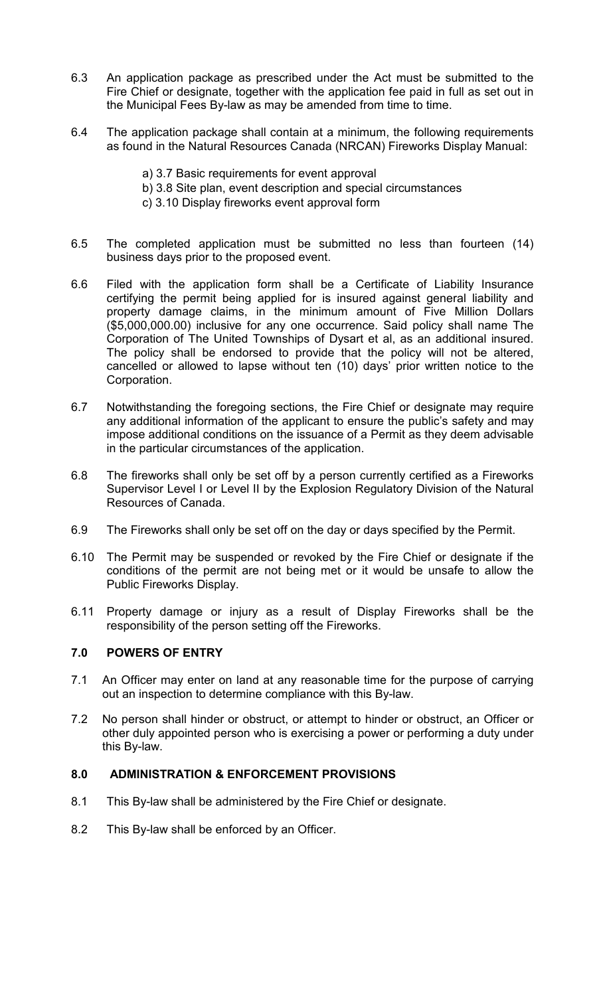- 6.3 An application package as prescribed under the Act must be submitted to the Fire Chief or designate, together with the application fee paid in full as set out in the Municipal Fees By-law as may be amended from time to time.
- 6.4 The application package shall contain at a minimum, the following requirements as found in the Natural Resources Canada (NRCAN) Fireworks Display Manual:
	- a) 3.7 Basic requirements for event approval
	- b) 3.8 Site plan, event description and special circumstances
	- c) 3.10 Display fireworks event approval form
- 6.5 The completed application must be submitted no less than fourteen (14) business days prior to the proposed event.
- 6.6 Filed with the application form shall be a Certificate of Liability Insurance certifying the permit being applied for is insured against general liability and property damage claims, in the minimum amount of Five Million Dollars (\$5,000,000.00) inclusive for any one occurrence. Said policy shall name The Corporation of The United Townships of Dysart et al, as an additional insured. The policy shall be endorsed to provide that the policy will not be altered, cancelled or allowed to lapse without ten (10) days' prior written notice to the Corporation.
- 6.7 Notwithstanding the foregoing sections, the Fire Chief or designate may require any additional information of the applicant to ensure the public's safety and may impose additional conditions on the issuance of a Permit as they deem advisable in the particular circumstances of the application.
- 6.8 The fireworks shall only be set off by a person currently certified as a Fireworks Supervisor Level I or Level II by the Explosion Regulatory Division of the Natural Resources of Canada.
- 6.9 The Fireworks shall only be set off on the day or days specified by the Permit.
- 6.10 The Permit may be suspended or revoked by the Fire Chief or designate if the conditions of the permit are not being met or it would be unsafe to allow the Public Fireworks Display.
- 6.11 Property damage or injury as a result of Display Fireworks shall be the responsibility of the person setting off the Fireworks.

# **7.0 POWERS OF ENTRY**

- 7.1 An Officer may enter on land at any reasonable time for the purpose of carrying out an inspection to determine compliance with this By-law.
- 7.2 No person shall hinder or obstruct, or attempt to hinder or obstruct, an Officer or other duly appointed person who is exercising a power or performing a duty under this By-law.

### **8.0 ADMINISTRATION & ENFORCEMENT PROVISIONS**

- 8.1 This By-law shall be administered by the Fire Chief or designate.
- 8.2 This By-law shall be enforced by an Officer.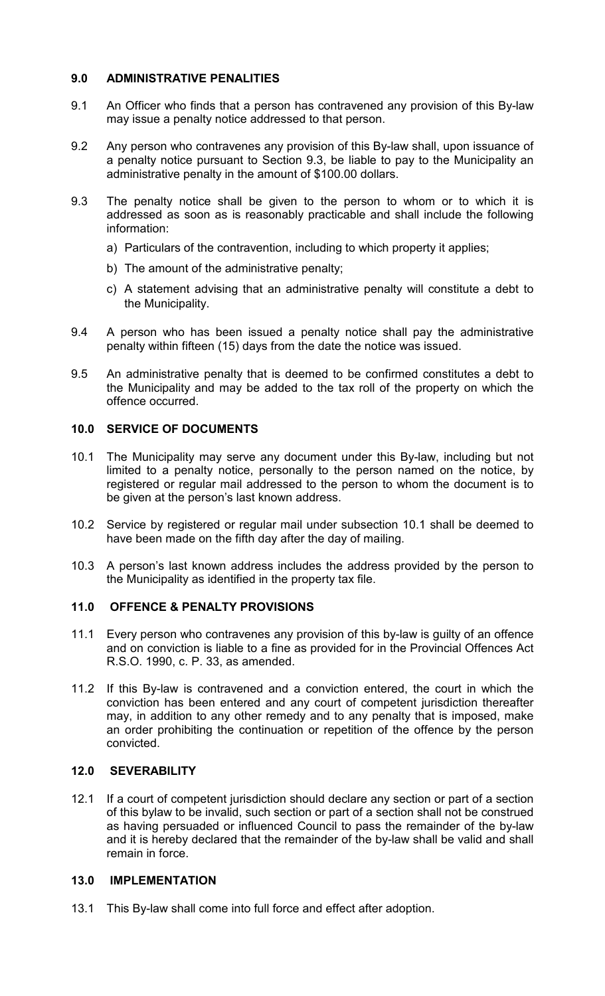## **9.0 ADMINISTRATIVE PENALITIES**

- 9.1 An Officer who finds that a person has contravened any provision of this By-law may issue a penalty notice addressed to that person.
- 9.2 Any person who contravenes any provision of this By-law shall, upon issuance of a penalty notice pursuant to Section 9.3, be liable to pay to the Municipality an administrative penalty in the amount of \$100.00 dollars.
- 9.3 The penalty notice shall be given to the person to whom or to which it is addressed as soon as is reasonably practicable and shall include the following information:
	- a) Particulars of the contravention, including to which property it applies;
	- b) The amount of the administrative penalty;
	- c) A statement advising that an administrative penalty will constitute a debt to the Municipality.
- 9.4 A person who has been issued a penalty notice shall pay the administrative penalty within fifteen (15) days from the date the notice was issued.
- 9.5 An administrative penalty that is deemed to be confirmed constitutes a debt to the Municipality and may be added to the tax roll of the property on which the offence occurred.

### **10.0 SERVICE OF DOCUMENTS**

- 10.1 The Municipality may serve any document under this By-law, including but not limited to a penalty notice, personally to the person named on the notice, by registered or regular mail addressed to the person to whom the document is to be given at the person's last known address.
- 10.2 Service by registered or regular mail under subsection 10.1 shall be deemed to have been made on the fifth day after the day of mailing.
- 10.3 A person's last known address includes the address provided by the person to the Municipality as identified in the property tax file.

#### **11.0 OFFENCE & PENALTY PROVISIONS**

- 11.1 Every person who contravenes any provision of this by-law is guilty of an offence and on conviction is liable to a fine as provided for in the Provincial Offences Act R.S.O. 1990, c. P. 33, as amended.
- 11.2 If this By-law is contravened and a conviction entered, the court in which the conviction has been entered and any court of competent jurisdiction thereafter may, in addition to any other remedy and to any penalty that is imposed, make an order prohibiting the continuation or repetition of the offence by the person convicted.

## **12.0 SEVERABILITY**

12.1 If a court of competent jurisdiction should declare any section or part of a section of this bylaw to be invalid, such section or part of a section shall not be construed as having persuaded or influenced Council to pass the remainder of the by-law and it is hereby declared that the remainder of the by-law shall be valid and shall remain in force.

#### **13.0 IMPLEMENTATION**

13.1 This By-law shall come into full force and effect after adoption.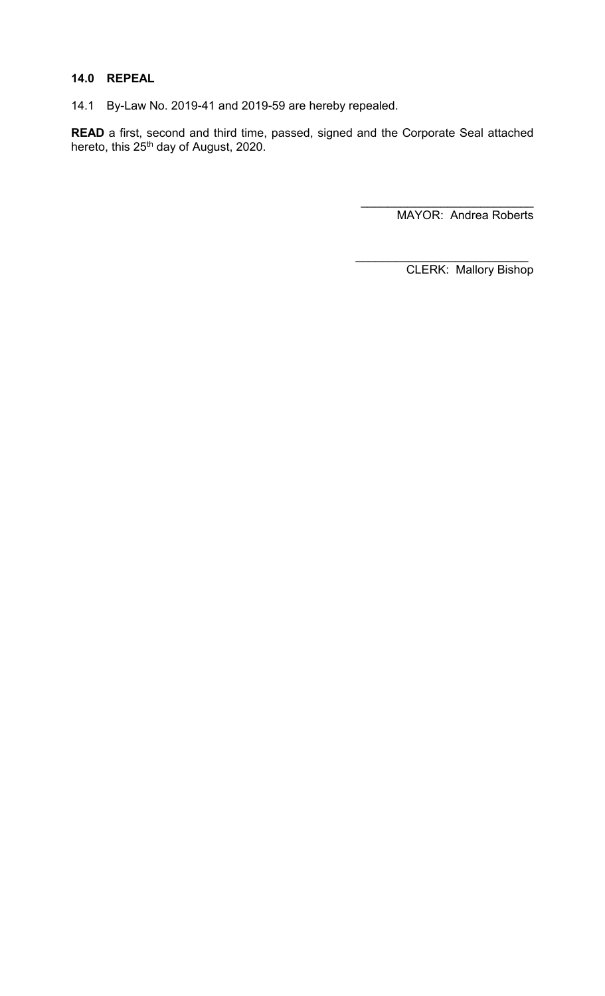## **14.0 REPEAL**

14.1 By-Law No. 2019-41 and 2019-59 are hereby repealed.

**READ** a first, second and third time, passed, signed and the Corporate Seal attached hereto, this 25<sup>th</sup> day of August, 2020.

> \_\_\_\_\_\_\_\_\_\_\_\_\_\_\_\_\_\_\_\_\_\_\_\_\_\_ MAYOR: Andrea Roberts

\_\_\_\_\_\_\_\_\_\_\_\_\_\_\_\_\_\_\_\_\_\_\_\_\_\_ CLERK: Mallory Bishop